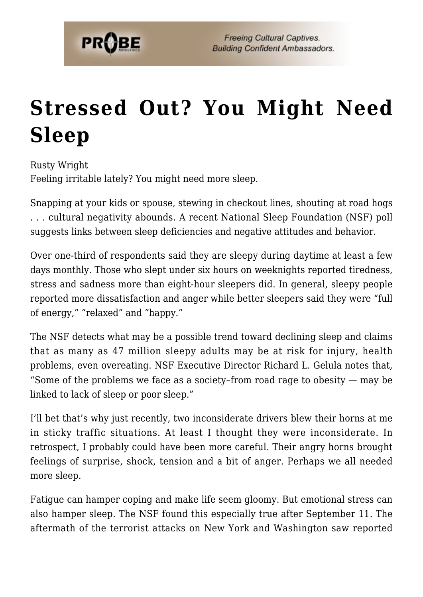

## **[Stressed Out? You Might Need](https://probe.org/stressed-out-you-might-need-sleep/) [Sleep](https://probe.org/stressed-out-you-might-need-sleep/)**

Rusty Wright Feeling irritable lately? You might need more sleep.

Snapping at your kids or spouse, stewing in checkout lines, shouting at road hogs . . . cultural negativity abounds. A recent National Sleep Foundation (NSF) poll suggests links between sleep deficiencies and negative attitudes and behavior.

Over one-third of respondents said they are sleepy during daytime at least a few days monthly. Those who slept under six hours on weeknights reported tiredness, stress and sadness more than eight-hour sleepers did. In general, sleepy people reported more dissatisfaction and anger while better sleepers said they were "full of energy," "relaxed" and "happy."

The NSF detects what may be a possible trend toward declining sleep and claims that as many as 47 million sleepy adults may be at risk for injury, health problems, even overeating. NSF Executive Director Richard L. Gelula notes that, "Some of the problems we face as a society–from road rage to obesity — may be linked to lack of sleep or poor sleep."

I'll bet that's why just recently, two inconsiderate drivers blew their horns at me in sticky traffic situations. At least I thought they were inconsiderate. In retrospect, I probably could have been more careful. Their angry horns brought feelings of surprise, shock, tension and a bit of anger. Perhaps we all needed more sleep.

Fatigue can hamper coping and make life seem gloomy. But emotional stress can also hamper sleep. The NSF found this especially true after September 11. The aftermath of the terrorist attacks on New York and Washington saw reported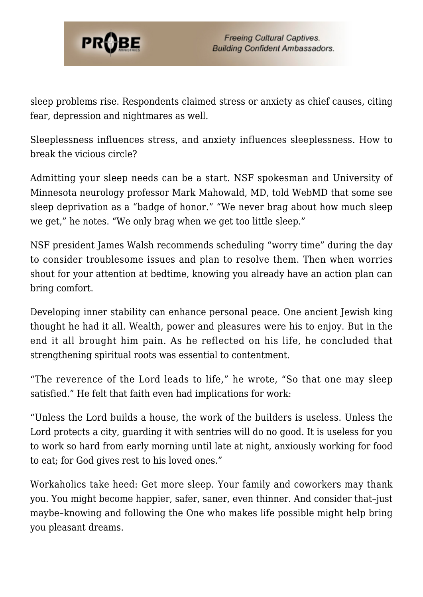

sleep problems rise. Respondents claimed stress or anxiety as chief causes, citing fear, depression and nightmares as well.

Sleeplessness influences stress, and anxiety influences sleeplessness. How to break the vicious circle?

Admitting your sleep needs can be a start. NSF spokesman and University of Minnesota neurology professor Mark Mahowald, MD, told WebMD that some see sleep deprivation as a "badge of honor." "We never brag about how much sleep we get," he notes. "We only brag when we get too little sleep."

NSF president James Walsh recommends scheduling "worry time" during the day to consider troublesome issues and plan to resolve them. Then when worries shout for your attention at bedtime, knowing you already have an action plan can bring comfort.

Developing inner stability can enhance personal peace. One ancient Jewish king thought he had it all. Wealth, power and pleasures were his to enjoy. But in the end it all brought him pain. As he reflected on his life, he concluded that strengthening spiritual roots was essential to contentment.

"The reverence of the Lord leads to life," he wrote, "So that one may sleep satisfied." He felt that faith even had implications for work:

"Unless the Lord builds a house, the work of the builders is useless. Unless the Lord protects a city, guarding it with sentries will do no good. It is useless for you to work so hard from early morning until late at night, anxiously working for food to eat; for God gives rest to his loved ones."

Workaholics take heed: Get more sleep. Your family and coworkers may thank you. You might become happier, safer, saner, even thinner. And consider that–just maybe–knowing and following the One who makes life possible might help bring you pleasant dreams.